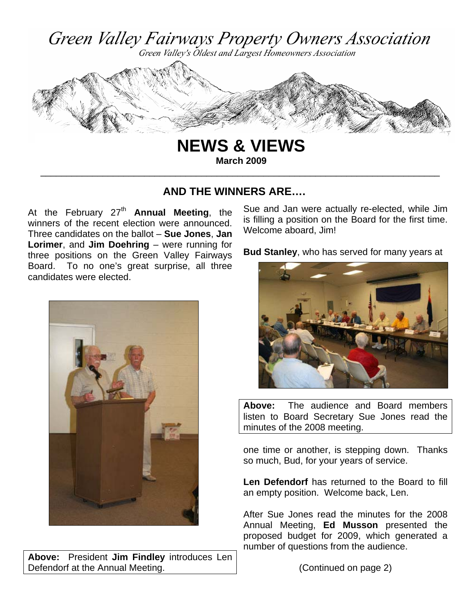

**NEWS & VIEWS March 2009** 

\_\_\_\_\_\_\_\_\_\_\_\_\_\_\_\_\_\_\_\_\_\_\_\_\_\_\_\_\_\_\_\_\_\_\_\_\_\_\_\_\_\_\_\_\_\_\_\_\_\_\_\_\_\_\_\_\_\_\_\_\_\_\_\_\_\_\_\_\_\_\_\_\_\_\_\_\_

**AND THE WINNERS ARE….** 

At the February  $27<sup>th</sup>$  **Annual Meeting**, the winners of the recent election were announced. Three candidates on the ballot – **Sue Jones**, **Jan Lorimer**, and **Jim Doehring** – were running for three positions on the Green Valley Fairways Board. To no one's great surprise, all three candidates were elected.



**Above:** President **Jim Findley** introduces Len Defendorf at the Annual Meeting.

Sue and Jan were actually re-elected, while Jim is filling a position on the Board for the first time. Welcome aboard, Jim!

**Bud Stanley**, who has served for many years at



**Above:** The audience and Board members listen to Board Secretary Sue Jones read the minutes of the 2008 meeting.

one time or another, is stepping down. Thanks so much, Bud, for your years of service.

**Len Defendorf** has returned to the Board to fill an empty position. Welcome back, Len.

After Sue Jones read the minutes for the 2008 Annual Meeting, **Ed Musson** presented the proposed budget for 2009, which generated a number of questions from the audience.

(Continued on page 2)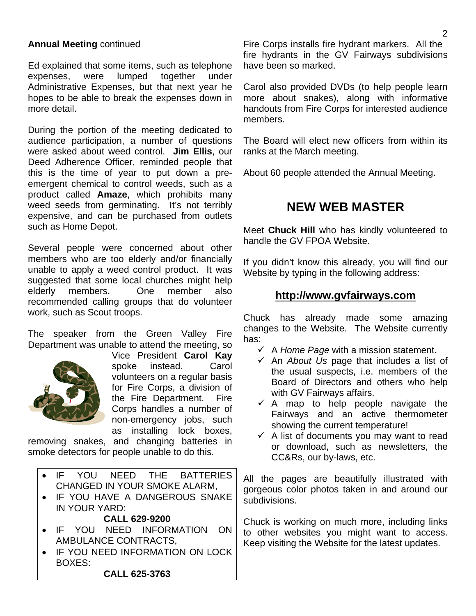### **Annual Meeting** continued

Ed explained that some items, such as telephone expenses, were lumped together under Administrative Expenses, but that next year he hopes to be able to break the expenses down in more detail.

During the portion of the meeting dedicated to audience participation, a number of questions were asked about weed control. **Jim Ellis**, our Deed Adherence Officer, reminded people that this is the time of year to put down a preemergent chemical to control weeds, such as a product called **Amaze**, which prohibits many weed seeds from germinating. It's not terribly expensive, and can be purchased from outlets such as Home Depot.

Several people were concerned about other members who are too elderly and/or financially unable to apply a weed control product. It was suggested that some local churches might help elderly members. One member also recommended calling groups that do volunteer work, such as Scout troops.

The speaker from the Green Valley Fire Department was unable to attend the meeting, so



Vice President **Carol Kay**  spoke instead. Carol volunteers on a regular basis for Fire Corps, a division of the Fire Department. Fire Corps handles a number of non-emergency jobs, such as installing lock boxes,

removing snakes, and changing batteries in smoke detectors for people unable to do this.

- IF YOU NEED THE BATTERIES CHANGED IN YOUR SMOKE ALARM,
- IF YOU HAVE A DANGEROUS SNAKE IN YOUR YARD:

#### **CALL 629-9200**

- IF YOU NEED INFORMATION ON AMBULANCE CONTRACTS,
- IF YOU NEED INFORMATION ON LOCK BOXES: **CALL 625-3763**

Fire Corps installs fire hydrant markers. All the fire hydrants in the GV Fairways subdivisions have been so marked.

Carol also provided DVDs (to help people learn more about snakes), along with informative handouts from Fire Corps for interested audience members.

The Board will elect new officers from within its ranks at the March meeting.

About 60 people attended the Annual Meeting.

## **NEW WEB MASTER**

Meet **Chuck Hill** who has kindly volunteered to handle the GV FPOA Website.

If you didn't know this already, you will find our Website by typing in the following address:

## **http://www.gvfairways.com**

Chuck has already made some amazing changes to the Website. The Website currently has:

- $\checkmark$  A *Home Page* with a mission statement.
- 9 An *About Us* page that includes a list of the usual suspects, i.e. members of the Board of Directors and others who help with GV Fairways affairs.
- $\checkmark$  A map to help people navigate the Fairways and an active thermometer showing the current temperature!
- $\checkmark$  A list of documents you may want to read or download, such as newsletters, the CC&Rs, our by-laws, etc.

All the pages are beautifully illustrated with gorgeous color photos taken in and around our subdivisions.

Chuck is working on much more, including links to other websites you might want to access. Keep visiting the Website for the latest updates.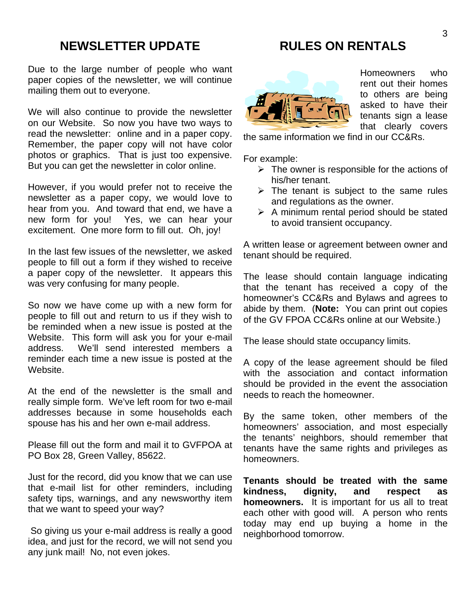# **NEWSLETTER UPDATE**

Due to the large number of people who want paper copies of the newsletter, we will continue mailing them out to everyone.

We will also continue to provide the newsletter on our Website. So now you have two ways to read the newsletter: online and in a paper copy. Remember, the paper copy will not have color photos or graphics. That is just too expensive. But you can get the newsletter in color online.

However, if you would prefer not to receive the newsletter as a paper copy, we would love to hear from you. And toward that end, we have a new form for you! Yes, we can hear your excitement. One more form to fill out. Oh, joy!

In the last few issues of the newsletter, we asked people to fill out a form if they wished to receive a paper copy of the newsletter. It appears this was very confusing for many people.

So now we have come up with a new form for people to fill out and return to us if they wish to be reminded when a new issue is posted at the Website. This form will ask you for your e-mail address. We'll send interested members a reminder each time a new issue is posted at the Website.

At the end of the newsletter is the small and really simple form. We've left room for two e-mail addresses because in some households each spouse has his and her own e-mail address.

Please fill out the form and mail it to GVFPOA at PO Box 28, Green Valley, 85622.

Just for the record, did you know that we can use that e-mail list for other reminders, including safety tips, warnings, and any newsworthy item that we want to speed your way?

 So giving us your e-mail address is really a good idea, and just for the record, we will not send you any junk mail! No, not even jokes.

# **RULES ON RENTALS**



Homeowners who rent out their homes to others are being asked to have their tenants sign a lease that clearly covers

the same information we find in our CC&Rs.

For example:

- $\triangleright$  The owner is responsible for the actions of his/her tenant.
- $\triangleright$  The tenant is subject to the same rules and regulations as the owner.
- $\triangleright$  A minimum rental period should be stated to avoid transient occupancy.

A written lease or agreement between owner and tenant should be required.

The lease should contain language indicating that the tenant has received a copy of the homeowner's CC&Rs and Bylaws and agrees to abide by them. (**Note:** You can print out copies of the GV FPOA CC&Rs online at our Website.)

The lease should state occupancy limits.

A copy of the lease agreement should be filed with the association and contact information should be provided in the event the association needs to reach the homeowner.

By the same token, other members of the homeowners' association, and most especially the tenants' neighbors, should remember that tenants have the same rights and privileges as homeowners.

**Tenants should be treated with the same kindness, dignity, and respect as homeowners.** It is important for us all to treat each other with good will. A person who rents today may end up buying a home in the neighborhood tomorrow.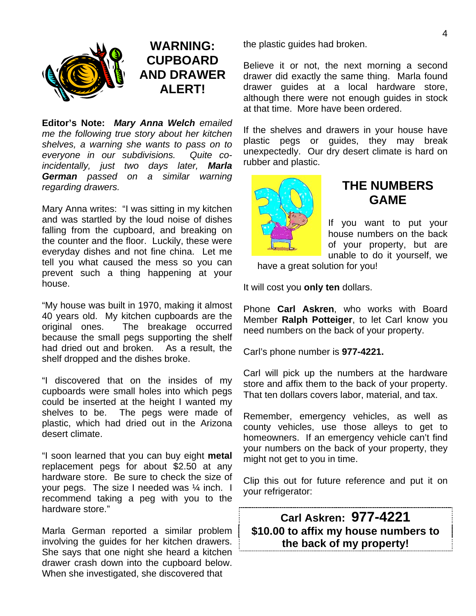

# **WARNING: CUPBOARD AND DRAWER ALERT!**

**Editor's Note:** *Mary Anna Welch emailed me the following true story about her kitchen shelves, a warning she wants to pass on to everyone in our subdivisions. Quite coincidentally, just two days later, Marla German passed on a similar warning regarding drawers.* 

Mary Anna writes: "I was sitting in my kitchen and was startled by the loud noise of dishes falling from the cupboard, and breaking on the counter and the floor. Luckily, these were everyday dishes and not fine china. Let me tell you what caused the mess so you can prevent such a thing happening at your house.

"My house was built in 1970, making it almost 40 years old. My kitchen cupboards are the original ones. The breakage occurred because the small pegs supporting the shelf had dried out and broken. As a result, the shelf dropped and the dishes broke.

"I discovered that on the insides of my cupboards were small holes into which pegs could be inserted at the height I wanted my shelves to be. The pegs were made of plastic, which had dried out in the Arizona desert climate.

"I soon learned that you can buy eight **metal**  replacement pegs for about \$2.50 at any hardware store. Be sure to check the size of your pegs. The size I needed was ¼ inch. I recommend taking a peg with you to the hardware store."

Marla German reported a similar problem involving the guides for her kitchen drawers. She says that one night she heard a kitchen drawer crash down into the cupboard below. When she investigated, she discovered that

the plastic guides had broken.

Believe it or not, the next morning a second drawer did exactly the same thing. Marla found drawer guides at a local hardware store, although there were not enough guides in stock at that time. More have been ordered.

If the shelves and drawers in your house have plastic pegs or guides, they may break unexpectedly. Our dry desert climate is hard on rubber and plastic.



## **THE NUMBERS GAME**

If you want to put your house numbers on the back of your property, but are unable to do it yourself, we

have a great solution for you!

It will cost you **only ten** dollars.

Phone **Carl Askren**, who works with Board Member **Ralph Potteiger**, to let Carl know you need numbers on the back of your property.

Carl's phone number is **977-4221.**

Carl will pick up the numbers at the hardware store and affix them to the back of your property. That ten dollars covers labor, material, and tax.

Remember, emergency vehicles, as well as county vehicles, use those alleys to get to homeowners. If an emergency vehicle can't find your numbers on the back of your property, they might not get to you in time.

Clip this out for future reference and put it on your refrigerator:

**Carl Askren: 977-4221 \$10.00 to affix my house numbers to the back of my property!**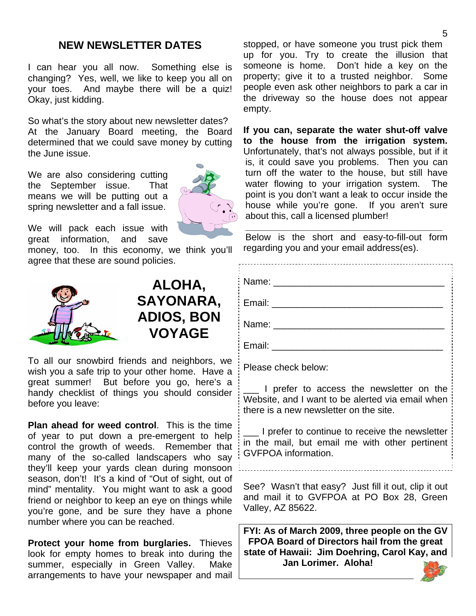### **NEW NEWSLETTER DATES**

I can hear you all now. Something else is changing? Yes, well, we like to keep you all on your toes. And maybe there will be a quiz! Okay, just kidding.

So what's the story about new newsletter dates? At the January Board meeting, the Board determined that we could save money by cutting the June issue.

We are also considering cutting the September issue. That means we will be putting out a spring newsletter and a fall issue.



We will pack each issue with great information, and save

money, too. In this economy, we think you'll agree that these are sound policies.



**ALOHA, SAYONARA, ADIOS, BON VOYAGE** 

To all our snowbird friends and neighbors, we wish you a safe trip to your other home. Have a great summer! But before you go, here's a handy checklist of things you should consider before you leave:

**Plan ahead for weed control**. This is the time of year to put down a pre-emergent to help control the growth of weeds. Remember that many of the so-called landscapers who say they'll keep your yards clean during monsoon season, don't! It's a kind of "Out of sight, out of mind" mentality. You might want to ask a good friend or neighbor to keep an eye on things while you're gone, and be sure they have a phone number where you can be reached.

**Protect your home from burglaries.** Thieves look for empty homes to break into during the summer, especially in Green Valley. Make arrangements to have your newspaper and mail stopped, or have someone you trust pick them up for you. Try to create the illusion that someone is home. Don't hide a key on the property; give it to a trusted neighbor. Some people even ask other neighbors to park a car in the driveway so the house does not appear empty.

**If you can, separate the water shut-off valve to the house from the irrigation system.** Unfortunately, that's not always possible, but if it is, it could save you problems. Then you can turn off the water to the house, but still have water flowing to your irrigation system. The point is you don't want a leak to occur inside the house while you're gone. If you aren't sure about this, call a licensed plumber!

Below is the short and easy-to-fill-out form regarding you and your email address(es).

**\_\_\_\_\_\_\_\_\_\_\_\_\_\_\_\_\_\_\_\_\_\_\_\_\_\_\_\_\_\_\_\_\_\_\_\_\_\_** 

Name: \_\_\_\_\_\_\_\_\_\_\_\_\_\_\_\_\_\_\_\_\_\_\_\_\_\_\_\_\_\_\_\_\_ Email:  $\blacksquare$ Name: \_\_\_\_\_\_\_\_\_\_\_\_\_\_\_\_\_\_\_\_\_\_\_\_\_\_\_\_\_\_\_\_\_ Email:  $\blacksquare$ 

Please check below:

\_\_\_ I prefer to access the newsletter on the Website, and I want to be alerted via email when there is a new newsletter on the site.

\_\_\_ I prefer to continue to receive the newsletter in the mail, but email me with other pertinent GVFPOA information.

See? Wasn't that easy? Just fill it out, clip it out and mail it to GVFPOA at PO Box 28, Green Valley, AZ 85622.

**FYI: As of March 2009, three people on the GV FPOA Board of Directors hail from the great state of Hawaii: Jim Doehring, Carol Kay, and Jan Lorimer. Aloha!**